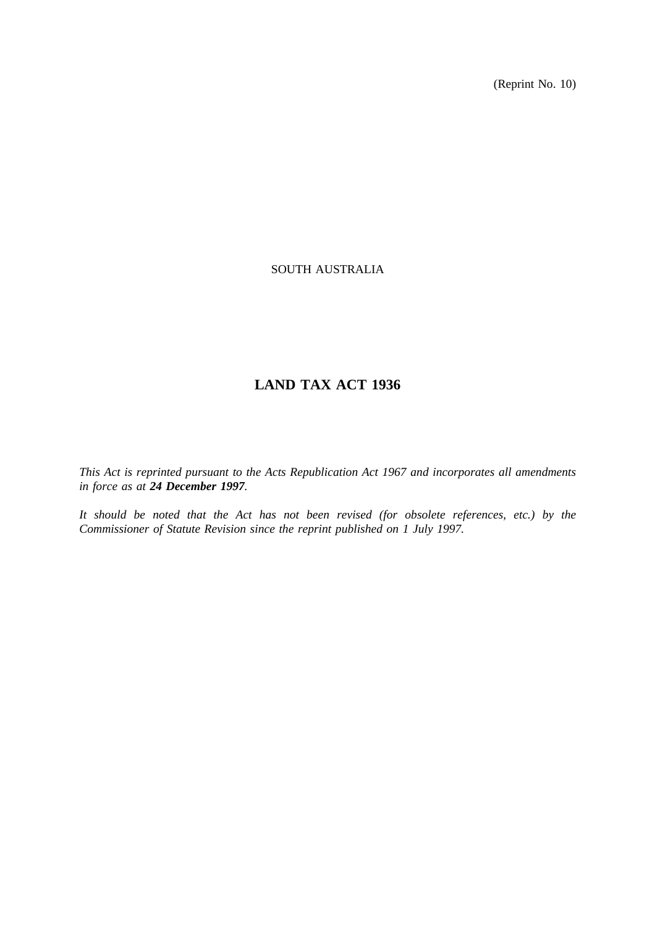(Reprint No. 10)

# SOUTH AUSTRALIA

# **LAND TAX ACT 1936**

*This Act is reprinted pursuant to the Acts Republication Act 1967 and incorporates all amendments in force as at 24 December 1997.*

*It should be noted that the Act has not been revised (for obsolete references, etc.) by the Commissioner of Statute Revision since the reprint published on 1 July 1997.*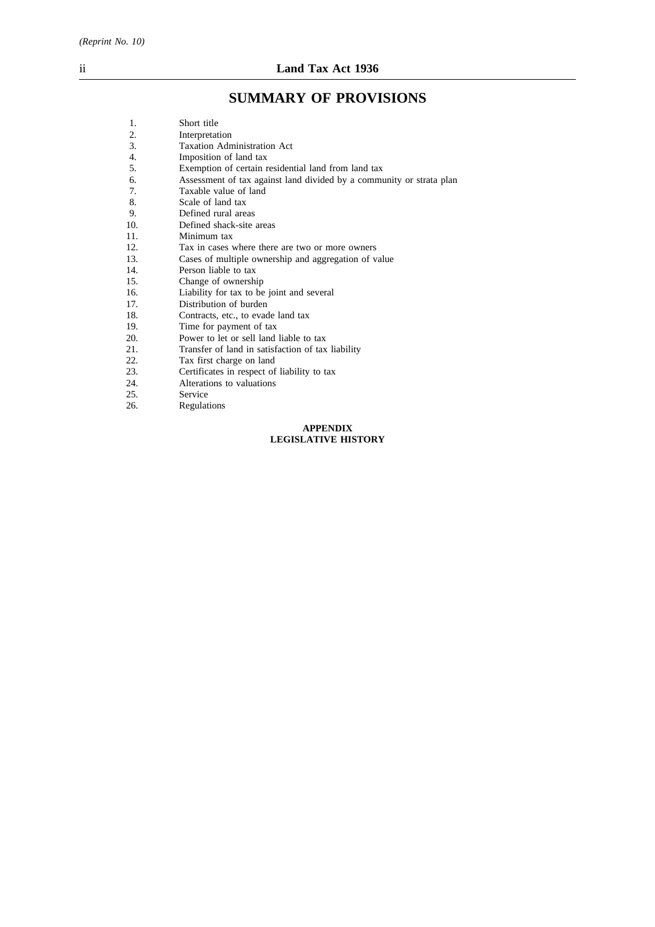# **SUMMARY OF PROVISIONS**

| 1.  | Short title                                                          |
|-----|----------------------------------------------------------------------|
| 2.  | Interpretation                                                       |
| 3.  | <b>Taxation Administration Act</b>                                   |
| 4.  | Imposition of land tax                                               |
| 5.  | Exemption of certain residential land from land tax                  |
| 6.  | Assessment of tax against land divided by a community or strata plan |
| 7.  | Taxable value of land                                                |
| 8.  | Scale of land tax                                                    |
| 9.  | Defined rural areas                                                  |
| 10. | Defined shack-site areas                                             |
| 11. | Minimum tax                                                          |
| 12. | Tax in cases where there are two or more owners                      |
| 13. | Cases of multiple ownership and aggregation of value                 |
| 14. | Person liable to tax                                                 |
| 15. | Change of ownership                                                  |
| 16. | Liability for tax to be joint and several                            |
| 17. | Distribution of burden                                               |
| 18. | Contracts, etc., to evade land tax                                   |
| 19. | Time for payment of tax                                              |
| 20. | Power to let or sell land liable to tax                              |
| 21. | Transfer of land in satisfaction of tax liability                    |
| 22. | Tax first charge on land                                             |
| 23. | Certificates in respect of liability to tax                          |
| 24. | Alterations to valuations                                            |
| 25. | Service                                                              |
| 26. | Regulations                                                          |
|     | <b>APPENDIX</b>                                                      |
|     | <b>LEGISLATIVE HISTORY</b>                                           |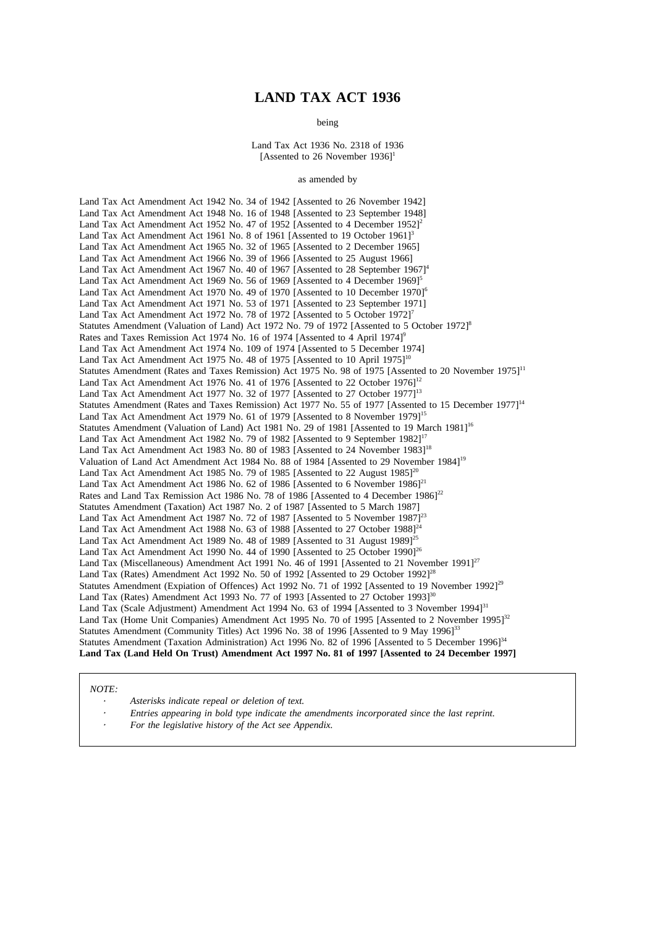# **LAND TAX ACT 1936**

being

Land Tax Act 1936 No. 2318 of 1936 [Assented to 26 November  $1936$ ]<sup>1</sup>

#### as amended by

Land Tax Act Amendment Act 1942 No. 34 of 1942 [Assented to 26 November 1942] Land Tax Act Amendment Act 1948 No. 16 of 1948 [Assented to 23 September 1948] Land Tax Act Amendment Act 1952 No. 47 of 1952 [Assented to 4 December 1952]<sup>2</sup> Land Tax Act Amendment Act 1961 No. 8 of 1961 [Assented to 19 October 1961]<sup>3</sup> Land Tax Act Amendment Act 1965 No. 32 of 1965 [Assented to 2 December 1965] Land Tax Act Amendment Act 1966 No. 39 of 1966 [Assented to 25 August 1966] Land Tax Act Amendment Act 1967 No. 40 of 1967 [Assented to 28 September  $1967$ ]<sup>4</sup> Land Tax Act Amendment Act 1969 No. 56 of 1969 [Assented to 4 December 1969]<sup>5</sup> Land Tax Act Amendment Act 1970 No. 49 of 1970 [Assented to 10 December 1970]<sup>6</sup> Land Tax Act Amendment Act 1971 No. 53 of 1971 [Assented to 23 September 1971] Land Tax Act Amendment Act 1972 No. 78 of 1972 [Assented to 5 October 1972]<sup>7</sup> Statutes Amendment (Valuation of Land) Act 1972 No. 79 of 1972 [Assented to 5 October 1972]<sup>8</sup> Rates and Taxes Remission Act 1974 No. 16 of 1974 [Assented to 4 April 1974]<sup>9</sup> Land Tax Act Amendment Act 1974 No. 109 of 1974 [Assented to 5 December 1974] Land Tax Act Amendment Act 1975 No. 48 of 1975 [Assented to 10 April 1975]<sup>10</sup> Statutes Amendment (Rates and Taxes Remission) Act 1975 No. 98 of 1975 [Assented to 20 November 1975]<sup>11</sup> Land Tax Act Amendment Act 1976 No. 41 of 1976 [Assented to 22 October 1976]<sup>12</sup> Land Tax Act Amendment Act 1977 No. 32 of 1977 [Assented to 27 October 1977]<sup>13</sup> Statutes Amendment (Rates and Taxes Remission) Act 1977 No. 55 of 1977 [Assented to 15 December 1977]<sup>14</sup> Land Tax Act Amendment Act 1979 No. 61 of 1979 [Assented to 8 November 1979]<sup>15</sup> Statutes Amendment (Valuation of Land) Act 1981 No. 29 of 1981 [Assented to 19 March 1981]<sup>16</sup> Land Tax Act Amendment Act 1982 No. 79 of 1982 [Assented to 9 September 1982]<sup>17</sup> Land Tax Act Amendment Act 1983 No. 80 of 1983 [Assented to 24 November 1983]<sup>18</sup> Valuation of Land Act Amendment Act 1984 No. 88 of 1984 [Assented to 29 November 1984]19 Land Tax Act Amendment Act 1985 No. 79 of 1985 [Assented to 22 August  $1985$ ]<sup>20</sup> Land Tax Act Amendment Act 1986 No. 62 of 1986 [Assented to 6 November 1986]<sup>21</sup> Rates and Land Tax Remission Act 1986 No. 78 of 1986 [Assented to 4 December 1986]<sup>22</sup> Statutes Amendment (Taxation) Act 1987 No. 2 of 1987 [Assented to 5 March 1987] Land Tax Act Amendment Act 1987 No. 72 of 1987 [Assented to 5 November 1987]<sup>23</sup> Land Tax Act Amendment Act 1988 No.  $63$  of 1988 [Assented to 27 October 1988]<sup>24</sup> Land Tax Act Amendment Act 1989 No. 48 of 1989 [Assented to 31 August 1989]<sup>25</sup> Land Tax Act Amendment Act 1990 No. 44 of 1990 [Assented to 25 October 1990]<sup>26</sup> Land Tax (Miscellaneous) Amendment Act 1991 No. 46 of 1991 [Assented to 21 November 1991]<sup>27</sup> Land Tax (Rates) Amendment Act 1992 No. 50 of 1992 [Assented to 29 October 1992]<sup>28</sup> Statutes Amendment (Expiation of Offences) Act 1992 No. 71 of 1992 [Assented to 19 November 1992]<sup>29</sup> Land Tax (Rates) Amendment Act 1993 No. 77 of 1993 [Assented to 27 October 1993]<sup>30</sup> Land Tax (Scale Adjustment) Amendment Act 1994 No. 63 of 1994 [Assented to 3 November 1994]<sup>31</sup> Land Tax (Home Unit Companies) Amendment Act 1995 No. 70 of 1995 [Assented to 2 November 1995]<sup>32</sup> Statutes Amendment (Community Titles) Act 1996 No. 38 of 1996 [Assented to 9 May 1996]<sup>33</sup> Statutes Amendment (Taxation Administration) Act 1996 No. 82 of 1996 [Assented to 5 December 1996]<sup>34</sup> **Land Tax (Land Held On Trust) Amendment Act 1997 No. 81 of 1997 [Assented to 24 December 1997]**

#### *NOTE:*

- *Asterisks indicate repeal or deletion of text.*
- *Entries appearing in bold type indicate the amendments incorporated since the last reprint.*
- *For the legislative history of the Act see Appendix.*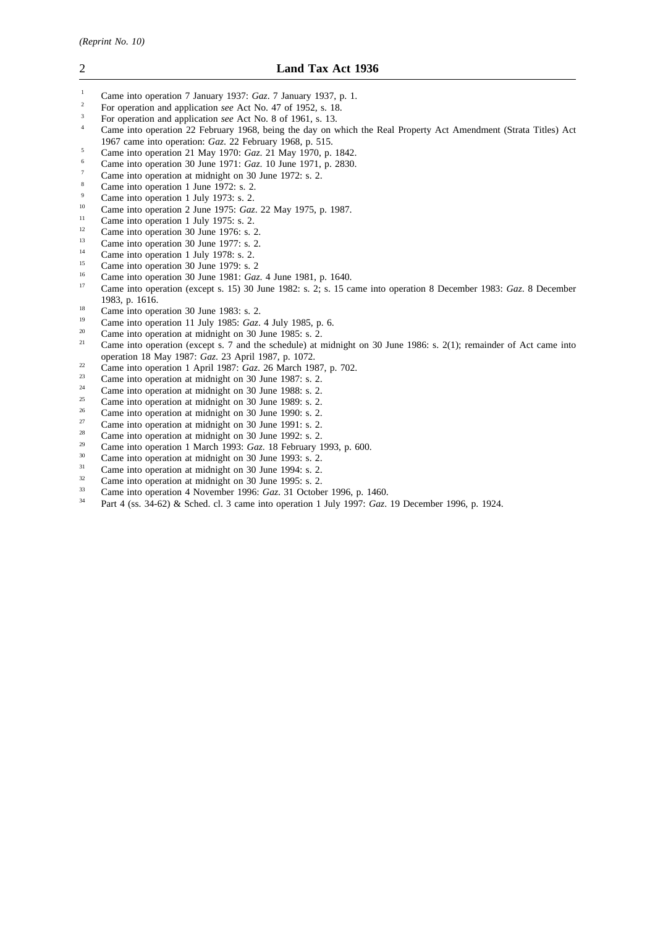- <sup>1</sup> Came into operation 7 January 1937: *Gaz*. 7 January 1937, p. 1.<br><sup>2</sup> Equipments and application asset at No. 47 of 1952, s. 18
- <sup>2</sup> For operation and application *see* Act No. 47 of 1952, s. 18.
- <sup>3</sup> For operation and application *see* Act No. 8 of 1961, s. 13.
- <sup>4</sup> Came into operation 22 February 1968, being the day on which the Real Property Act Amendment (Strata Titles) Act 1967 came into operation: *Gaz*. 22 February 1968, p. 515.
- <sup>5</sup> Came into operation 21 May 1970: *Gaz*. 21 May 1970, p. 1842.
- <sup>6</sup> Came into operation 30 June 1971: *Gaz*. 10 June 1971, p. 2830.
- $\frac{7}{8}$  Came into operation at midnight on 30 June 1972: s. 2.
- Came into operation 1 June 1972: s. 2.
- <sup>9</sup> Came into operation 1 July 1973: s. 2.<br><sup>10</sup> Came into operation 2 June 1975: Car
- <sup>10</sup> Came into operation 2 June 1975: *Gaz*. 22 May 1975, p. 1987.
- <sup>11</sup> Came into operation 1 July 1975: s. 2.
- <sup>12</sup> Came into operation 30 June 1976: s. 2.<br>
Come into operation 20 June 1977: s. 2.
- $\frac{13}{14}$  Came into operation 30 June 1977: s. 2.
- <sup>14</sup> Came into operation 1 July 1978: s. 2.
- <sup>15</sup> Came into operation 30 June 1979: s. 2<sup>16</sup>
- <sup>16</sup> Came into operation 30 June 1981: *Gaz*. 4 June 1981, p. 1640.
- <sup>17</sup> Came into operation (except s. 15) 30 June 1982: s. 2; s. 15 came into operation 8 December 1983: *Gaz*. 8 December 1983, p. 1616.
- <sup>18</sup> Came into operation 30 June 1983: s. 2.<br><sup>19</sup> Came into operation 11 July 1985: C
- <sup>19</sup> Came into operation 11 July 1985: *Gaz*. 4 July 1985, p. 6.<br><sup>20</sup> Came into aggressive at midnight an <sup>20</sup> June 1095.
- <sup>20</sup> Came into operation at midnight on 30 June 1985: s.  $\hat{2}$ .<br><sup>21</sup> Came into operation (queent a  $\hat{2}$  and the schoolale) at a
- <sup>21</sup> Came into operation (except s. 7 and the schedule) at midnight on 30 June 1986: s. 2(1); remainder of Act came into operation 18 May 1987: *Gaz*. 23 April 1987, p. 1072.
- <sup>22</sup> Came into operation 1 April 1987:  $Gaz$ . 26 March 1987, p. 702.<br>
<sup>23</sup> Came into operation at midnight on 20 June 1987: c. 2
- <sup>23</sup> Came into operation at midnight on 30 June 1987: s. 2.<br><sup>24</sup> C
- <sup>24</sup> Came into operation at midnight on 30 June 1988: s. 2.<br>
Come into operation at midnight on 20 June 1980: s. 2.
- <sup>25</sup> Came into operation at midnight on 30 June 1989: s. 2.<br> $\frac{26}{1000}$  Came into a partice at midnight as 20 June 1999: s. 2.
- <sup>26</sup> Came into operation at midnight on 30 June 1990: s. 2.<br>
<sup>27</sup>
- <sup>27</sup> Came into operation at midnight on 30 June 1991: s. 2.<br><sup>28</sup> C
- <sup>28</sup> Came into operation at midnight on 30 June 1992: s. 2.<br><sup>29</sup> Came into a partice 1 March 1992:  $C_{\text{max}}$  19 February 1
- <sup>29</sup> Came into operation 1 March 1993: *Gaz*. 18 February 1993, p. 600.
- $^{30}$  Came into operation at midnight on 30 June 1993: s. 2.<br> $^{31}$  Came into operation at midnight an 20 June 1994: s. 2.
- <sup>31</sup> Came into operation at midnight on 30 June 1994: s. 2.<br>
Come into operation at midnight on  $30 \text{ J}$ une 1005: s. 2.
- $\frac{32}{2}$  Came into operation at midnight on 30 June 1995: s. 2.<br> $\frac{33}{2}$  Came into a parties 4. Neural p. 1996:  $C_{\text{max}}$  21. Other
- <sup>33</sup> Came into operation 4 November 1996: *Gaz*. 31 October 1996, p. 1460.
- <sup>34</sup> Part 4 (ss. 34-62) & Sched. cl. 3 came into operation 1 July 1997: *Gaz*. 19 December 1996, p. 1924.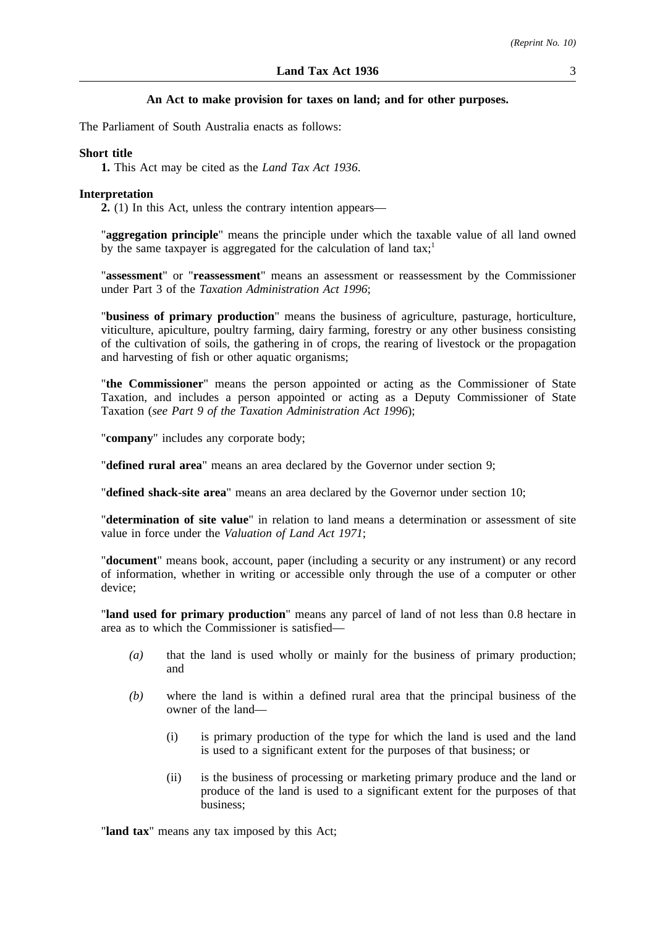### **An Act to make provision for taxes on land; and for other purposes.**

The Parliament of South Australia enacts as follows:

#### **Short title**

**1.** This Act may be cited as the *Land Tax Act 1936*.

#### **Interpretation**

**2.** (1) In this Act, unless the contrary intention appears—

"**aggregation principle**" means the principle under which the taxable value of all land owned by the same taxpayer is aggregated for the calculation of land  $\text{taxi}^1$ ;

"**assessment**" or "**reassessment**" means an assessment or reassessment by the Commissioner under Part 3 of the *Taxation Administration Act 1996*;

"**business of primary production**" means the business of agriculture, pasturage, horticulture, viticulture, apiculture, poultry farming, dairy farming, forestry or any other business consisting of the cultivation of soils, the gathering in of crops, the rearing of livestock or the propagation and harvesting of fish or other aquatic organisms;

"**the Commissioner**" means the person appointed or acting as the Commissioner of State Taxation, and includes a person appointed or acting as a Deputy Commissioner of State Taxation (*see Part 9 of the Taxation Administration Act 1996*);

"**company**" includes any corporate body;

"**defined rural area**" means an area declared by the Governor under section 9;

"**defined shack-site area**" means an area declared by the Governor under section 10;

"**determination of site value**" in relation to land means a determination or assessment of site value in force under the *Valuation of Land Act 1971*;

"**document**" means book, account, paper (including a security or any instrument) or any record of information, whether in writing or accessible only through the use of a computer or other device;

"**land used for primary production**" means any parcel of land of not less than 0.8 hectare in area as to which the Commissioner is satisfied—

- *(a)* that the land is used wholly or mainly for the business of primary production; and
- *(b)* where the land is within a defined rural area that the principal business of the owner of the land—
	- (i) is primary production of the type for which the land is used and the land is used to a significant extent for the purposes of that business; or
	- (ii) is the business of processing or marketing primary produce and the land or produce of the land is used to a significant extent for the purposes of that business;

"**land tax**" means any tax imposed by this Act;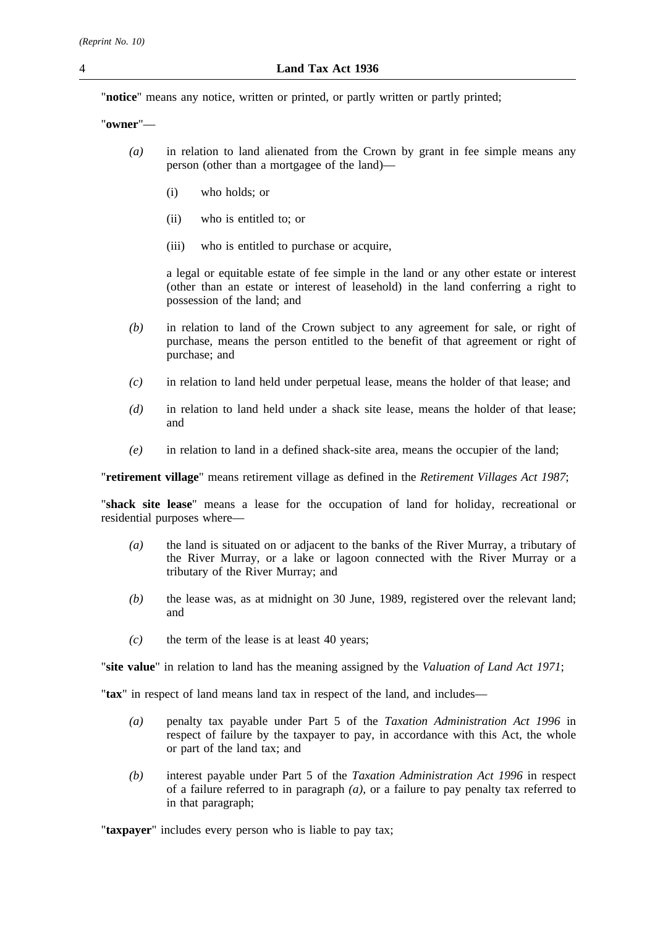"**notice**" means any notice, written or printed, or partly written or partly printed;

"**owner**"—

- *(a)* in relation to land alienated from the Crown by grant in fee simple means any person (other than a mortgagee of the land)—
	- (i) who holds; or
	- (ii) who is entitled to; or
	- (iii) who is entitled to purchase or acquire,

a legal or equitable estate of fee simple in the land or any other estate or interest (other than an estate or interest of leasehold) in the land conferring a right to possession of the land; and

- *(b)* in relation to land of the Crown subject to any agreement for sale, or right of purchase, means the person entitled to the benefit of that agreement or right of purchase; and
- *(c)* in relation to land held under perpetual lease, means the holder of that lease; and
- *(d)* in relation to land held under a shack site lease, means the holder of that lease; and
- *(e)* in relation to land in a defined shack-site area, means the occupier of the land;

"**retirement village**" means retirement village as defined in the *Retirement Villages Act 1987*;

"**shack site lease**" means a lease for the occupation of land for holiday, recreational or residential purposes where—

- *(a)* the land is situated on or adjacent to the banks of the River Murray, a tributary of the River Murray, or a lake or lagoon connected with the River Murray or a tributary of the River Murray; and
- *(b)* the lease was, as at midnight on 30 June, 1989, registered over the relevant land; and
- *(c)* the term of the lease is at least 40 years;

"**site value**" in relation to land has the meaning assigned by the *Valuation of Land Act 1971*;

"**tax**" in respect of land means land tax in respect of the land, and includes—

- *(a)* penalty tax payable under Part 5 of the *Taxation Administration Act 1996* in respect of failure by the taxpayer to pay, in accordance with this Act, the whole or part of the land tax; and
- *(b)* interest payable under Part 5 of the *Taxation Administration Act 1996* in respect of a failure referred to in paragraph *(a)*, or a failure to pay penalty tax referred to in that paragraph;

"**taxpayer**" includes every person who is liable to pay tax;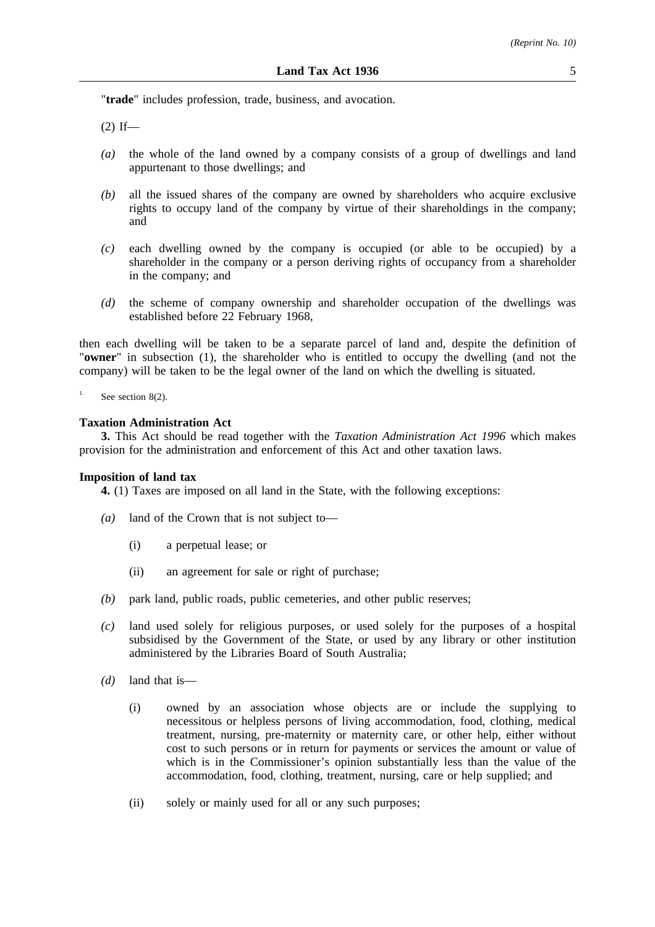"**trade**" includes profession, trade, business, and avocation.

 $(2)$  If—

- *(a)* the whole of the land owned by a company consists of a group of dwellings and land appurtenant to those dwellings; and
- *(b)* all the issued shares of the company are owned by shareholders who acquire exclusive rights to occupy land of the company by virtue of their shareholdings in the company; and
- *(c)* each dwelling owned by the company is occupied (or able to be occupied) by a shareholder in the company or a person deriving rights of occupancy from a shareholder in the company; and
- *(d)* the scheme of company ownership and shareholder occupation of the dwellings was established before 22 February 1968,

then each dwelling will be taken to be a separate parcel of land and, despite the definition of "**owner**" in subsection (1), the shareholder who is entitled to occupy the dwelling (and not the company) will be taken to be the legal owner of the land on which the dwelling is situated.

See section 8(2).

#### **Taxation Administration Act**

**3.** This Act should be read together with the *Taxation Administration Act 1996* which makes provision for the administration and enforcement of this Act and other taxation laws.

## **Imposition of land tax**

**4.** (1) Taxes are imposed on all land in the State, with the following exceptions:

- *(a)* land of the Crown that is not subject to—
	- (i) a perpetual lease; or
	- (ii) an agreement for sale or right of purchase;
- *(b)* park land, public roads, public cemeteries, and other public reserves;
- *(c)* land used solely for religious purposes, or used solely for the purposes of a hospital subsidised by the Government of the State, or used by any library or other institution administered by the Libraries Board of South Australia;
- *(d)* land that is—
	- (i) owned by an association whose objects are or include the supplying to necessitous or helpless persons of living accommodation, food, clothing, medical treatment, nursing, pre-maternity or maternity care, or other help, either without cost to such persons or in return for payments or services the amount or value of which is in the Commissioner's opinion substantially less than the value of the accommodation, food, clothing, treatment, nursing, care or help supplied; and
	- (ii) solely or mainly used for all or any such purposes;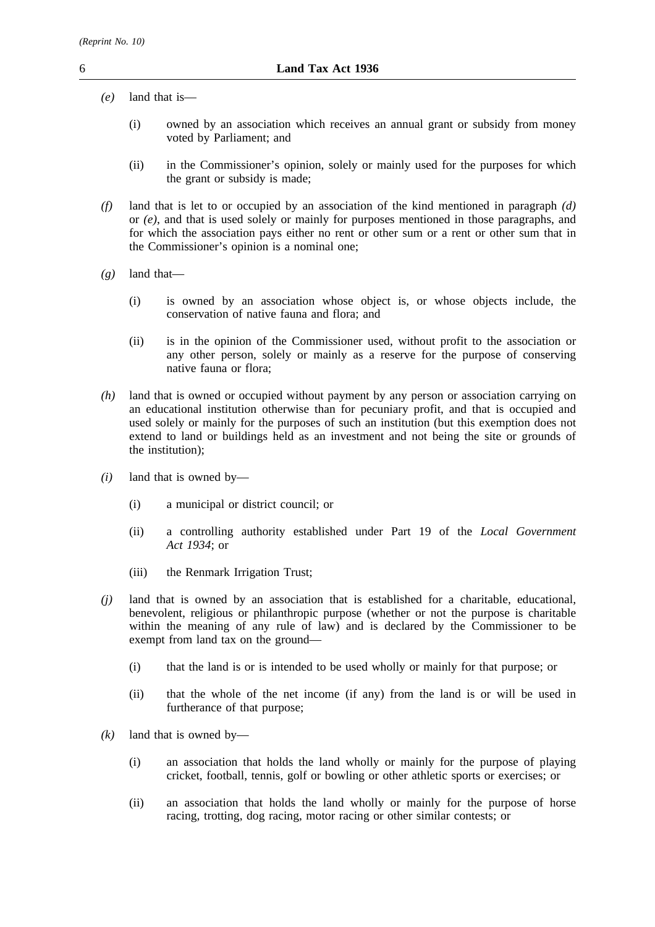- *(e)* land that is—
	- (i) owned by an association which receives an annual grant or subsidy from money voted by Parliament; and
	- (ii) in the Commissioner's opinion, solely or mainly used for the purposes for which the grant or subsidy is made;
- *(f)* land that is let to or occupied by an association of the kind mentioned in paragraph *(d)* or *(e)*, and that is used solely or mainly for purposes mentioned in those paragraphs, and for which the association pays either no rent or other sum or a rent or other sum that in the Commissioner's opinion is a nominal one;
- *(g)* land that—
	- (i) is owned by an association whose object is, or whose objects include, the conservation of native fauna and flora; and
	- (ii) is in the opinion of the Commissioner used, without profit to the association or any other person, solely or mainly as a reserve for the purpose of conserving native fauna or flora;
- *(h)* land that is owned or occupied without payment by any person or association carrying on an educational institution otherwise than for pecuniary profit, and that is occupied and used solely or mainly for the purposes of such an institution (but this exemption does not extend to land or buildings held as an investment and not being the site or grounds of the institution);
- *(i)* land that is owned by—
	- (i) a municipal or district council; or
	- (ii) a controlling authority established under Part 19 of the *Local Government Act 1934*; or
	- (iii) the Renmark Irrigation Trust;
- *(j)* land that is owned by an association that is established for a charitable, educational, benevolent, religious or philanthropic purpose (whether or not the purpose is charitable within the meaning of any rule of law) and is declared by the Commissioner to be exempt from land tax on the ground—
	- (i) that the land is or is intended to be used wholly or mainly for that purpose; or
	- (ii) that the whole of the net income (if any) from the land is or will be used in furtherance of that purpose;
- *(k)* land that is owned by—
	- (i) an association that holds the land wholly or mainly for the purpose of playing cricket, football, tennis, golf or bowling or other athletic sports or exercises; or
	- (ii) an association that holds the land wholly or mainly for the purpose of horse racing, trotting, dog racing, motor racing or other similar contests; or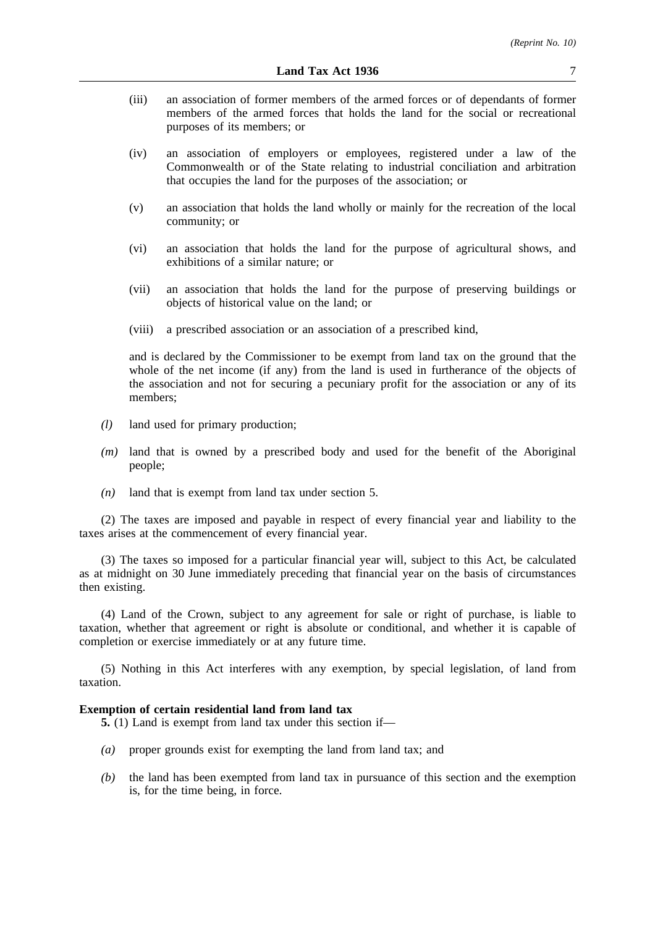- (iii) an association of former members of the armed forces or of dependants of former members of the armed forces that holds the land for the social or recreational purposes of its members; or
- (iv) an association of employers or employees, registered under a law of the Commonwealth or of the State relating to industrial conciliation and arbitration that occupies the land for the purposes of the association; or
- (v) an association that holds the land wholly or mainly for the recreation of the local community; or
- (vi) an association that holds the land for the purpose of agricultural shows, and exhibitions of a similar nature; or
- (vii) an association that holds the land for the purpose of preserving buildings or objects of historical value on the land; or
- (viii) a prescribed association or an association of a prescribed kind,

and is declared by the Commissioner to be exempt from land tax on the ground that the whole of the net income (if any) from the land is used in furtherance of the objects of the association and not for securing a pecuniary profit for the association or any of its members;

- *(l)* land used for primary production;
- *(m)* land that is owned by a prescribed body and used for the benefit of the Aboriginal people;
- *(n)* land that is exempt from land tax under section 5.

(2) The taxes are imposed and payable in respect of every financial year and liability to the taxes arises at the commencement of every financial year.

(3) The taxes so imposed for a particular financial year will, subject to this Act, be calculated as at midnight on 30 June immediately preceding that financial year on the basis of circumstances then existing.

(4) Land of the Crown, subject to any agreement for sale or right of purchase, is liable to taxation, whether that agreement or right is absolute or conditional, and whether it is capable of completion or exercise immediately or at any future time.

(5) Nothing in this Act interferes with any exemption, by special legislation, of land from taxation.

## **Exemption of certain residential land from land tax**

**5.** (1) Land is exempt from land tax under this section if—

- *(a)* proper grounds exist for exempting the land from land tax; and
- *(b)* the land has been exempted from land tax in pursuance of this section and the exemption is, for the time being, in force.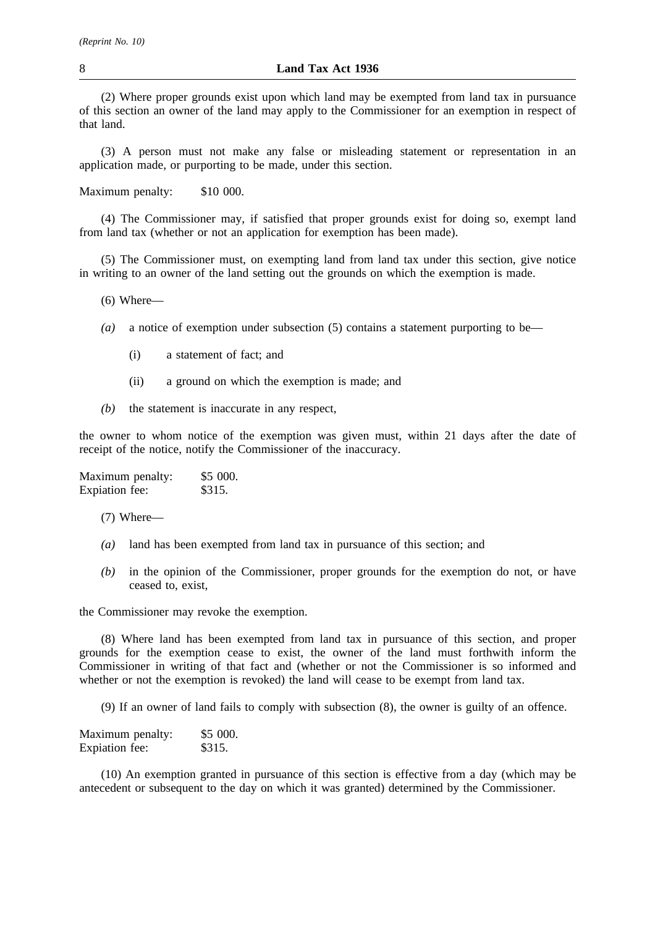(2) Where proper grounds exist upon which land may be exempted from land tax in pursuance of this section an owner of the land may apply to the Commissioner for an exemption in respect of that land.

(3) A person must not make any false or misleading statement or representation in an application made, or purporting to be made, under this section.

Maximum penalty: \$10 000.

(4) The Commissioner may, if satisfied that proper grounds exist for doing so, exempt land from land tax (whether or not an application for exemption has been made).

(5) The Commissioner must, on exempting land from land tax under this section, give notice in writing to an owner of the land setting out the grounds on which the exemption is made.

 $(6)$  Where—

- *(a)* a notice of exemption under subsection (5) contains a statement purporting to be—
	- (i) a statement of fact; and
	- (ii) a ground on which the exemption is made; and
- *(b)* the statement is inaccurate in any respect,

the owner to whom notice of the exemption was given must, within 21 days after the date of receipt of the notice, notify the Commissioner of the inaccuracy.

| Maximum penalty: | \$5 000. |
|------------------|----------|
| Expiation fee:   | \$315.   |

(7) Where—

- *(a)* land has been exempted from land tax in pursuance of this section; and
- *(b)* in the opinion of the Commissioner, proper grounds for the exemption do not, or have ceased to, exist,

the Commissioner may revoke the exemption.

(8) Where land has been exempted from land tax in pursuance of this section, and proper grounds for the exemption cease to exist, the owner of the land must forthwith inform the Commissioner in writing of that fact and (whether or not the Commissioner is so informed and whether or not the exemption is revoked) the land will cease to be exempt from land tax.

(9) If an owner of land fails to comply with subsection (8), the owner is guilty of an offence.

| Maximum penalty:      | \$5000. |
|-----------------------|---------|
| <b>Expiation</b> fee: | \$315.  |

(10) An exemption granted in pursuance of this section is effective from a day (which may be antecedent or subsequent to the day on which it was granted) determined by the Commissioner.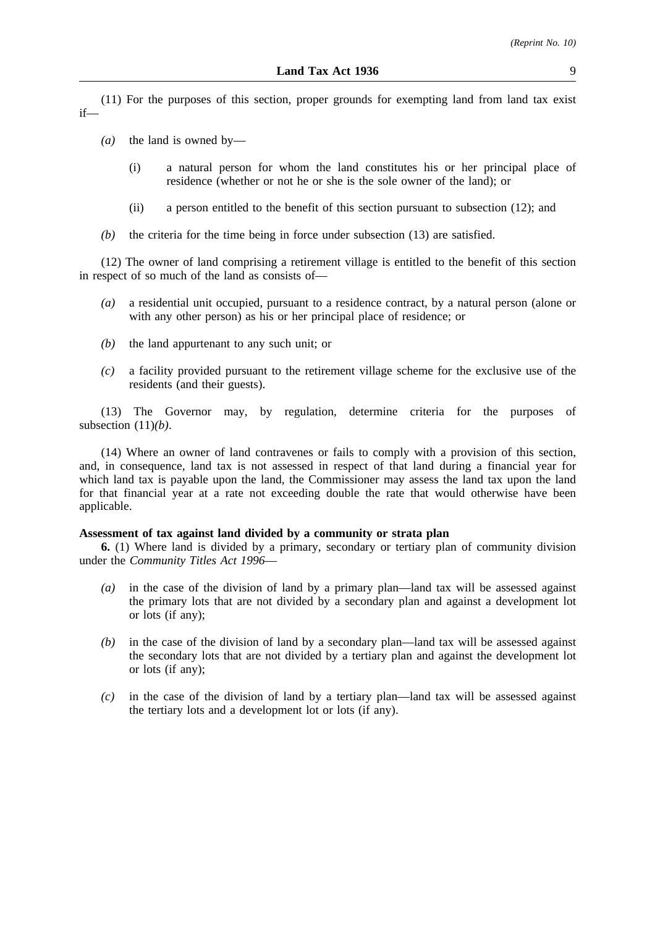(11) For the purposes of this section, proper grounds for exempting land from land tax exist if—

- *(a)* the land is owned by—
	- (i) a natural person for whom the land constitutes his or her principal place of residence (whether or not he or she is the sole owner of the land); or
	- (ii) a person entitled to the benefit of this section pursuant to subsection (12); and
- *(b)* the criteria for the time being in force under subsection (13) are satisfied.

(12) The owner of land comprising a retirement village is entitled to the benefit of this section in respect of so much of the land as consists of—

- *(a)* a residential unit occupied, pursuant to a residence contract, by a natural person (alone or with any other person) as his or her principal place of residence; or
- *(b)* the land appurtenant to any such unit; or
- *(c)* a facility provided pursuant to the retirement village scheme for the exclusive use of the residents (and their guests).

(13) The Governor may, by regulation, determine criteria for the purposes of subsection (11)*(b)*.

(14) Where an owner of land contravenes or fails to comply with a provision of this section, and, in consequence, land tax is not assessed in respect of that land during a financial year for which land tax is payable upon the land, the Commissioner may assess the land tax upon the land for that financial year at a rate not exceeding double the rate that would otherwise have been applicable.

#### **Assessment of tax against land divided by a community or strata plan**

**6.** (1) Where land is divided by a primary, secondary or tertiary plan of community division under the *Community Titles Act 1996*—

- *(a)* in the case of the division of land by a primary plan—land tax will be assessed against the primary lots that are not divided by a secondary plan and against a development lot or lots (if any);
- *(b)* in the case of the division of land by a secondary plan—land tax will be assessed against the secondary lots that are not divided by a tertiary plan and against the development lot or lots (if any);
- *(c)* in the case of the division of land by a tertiary plan—land tax will be assessed against the tertiary lots and a development lot or lots (if any).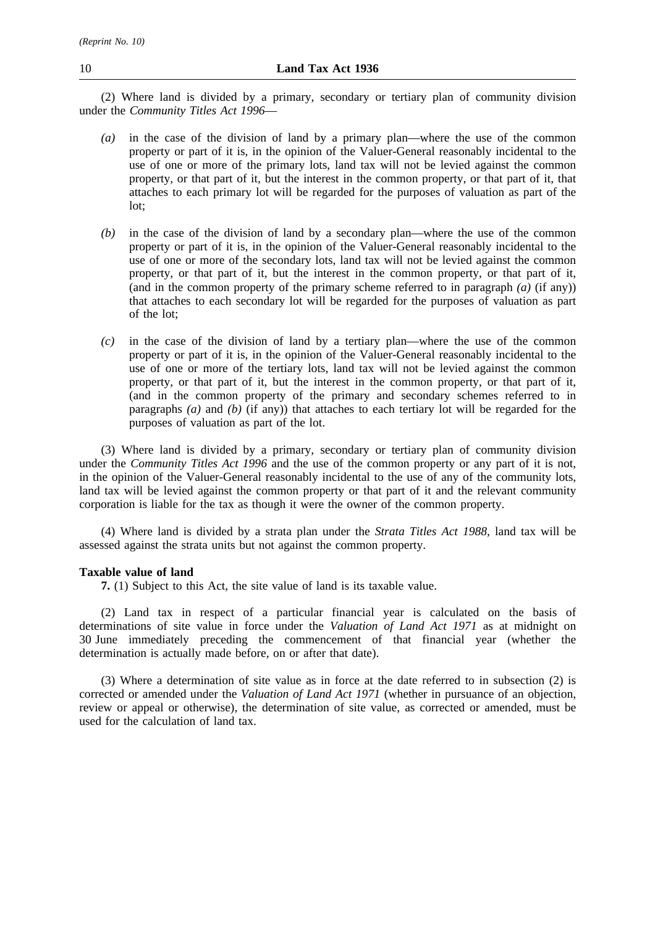(2) Where land is divided by a primary, secondary or tertiary plan of community division under the *Community Titles Act 1996*—

- *(a)* in the case of the division of land by a primary plan—where the use of the common property or part of it is, in the opinion of the Valuer-General reasonably incidental to the use of one or more of the primary lots, land tax will not be levied against the common property, or that part of it, but the interest in the common property, or that part of it, that attaches to each primary lot will be regarded for the purposes of valuation as part of the lot;
- *(b)* in the case of the division of land by a secondary plan—where the use of the common property or part of it is, in the opinion of the Valuer-General reasonably incidental to the use of one or more of the secondary lots, land tax will not be levied against the common property, or that part of it, but the interest in the common property, or that part of it, (and in the common property of the primary scheme referred to in paragraph *(a)* (if any)) that attaches to each secondary lot will be regarded for the purposes of valuation as part of the lot;
- *(c)* in the case of the division of land by a tertiary plan—where the use of the common property or part of it is, in the opinion of the Valuer-General reasonably incidental to the use of one or more of the tertiary lots, land tax will not be levied against the common property, or that part of it, but the interest in the common property, or that part of it, (and in the common property of the primary and secondary schemes referred to in paragraphs *(a)* and *(b)* (if any)) that attaches to each tertiary lot will be regarded for the purposes of valuation as part of the lot.

(3) Where land is divided by a primary, secondary or tertiary plan of community division under the *Community Titles Act 1996* and the use of the common property or any part of it is not, in the opinion of the Valuer-General reasonably incidental to the use of any of the community lots, land tax will be levied against the common property or that part of it and the relevant community corporation is liable for the tax as though it were the owner of the common property.

(4) Where land is divided by a strata plan under the *Strata Titles Act 1988*, land tax will be assessed against the strata units but not against the common property.

#### **Taxable value of land**

**7.** (1) Subject to this Act, the site value of land is its taxable value.

(2) Land tax in respect of a particular financial year is calculated on the basis of determinations of site value in force under the *Valuation of Land Act 1971* as at midnight on 30 June immediately preceding the commencement of that financial year (whether the determination is actually made before, on or after that date).

(3) Where a determination of site value as in force at the date referred to in subsection (2) is corrected or amended under the *Valuation of Land Act 1971* (whether in pursuance of an objection, review or appeal or otherwise), the determination of site value, as corrected or amended, must be used for the calculation of land tax.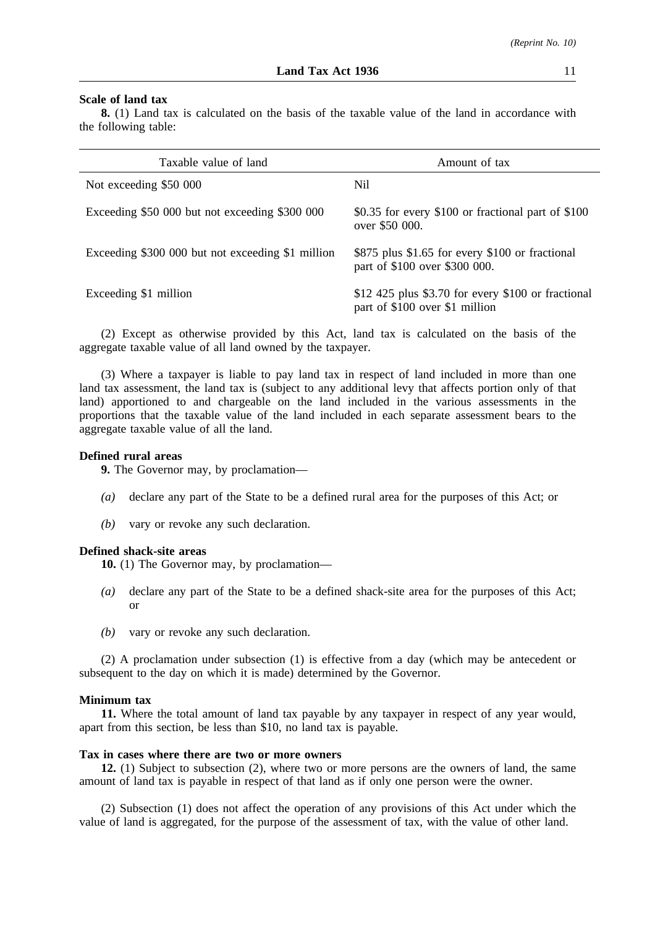#### **Scale of land tax**

**8.** (1) Land tax is calculated on the basis of the taxable value of the land in accordance with the following table:

| Taxable value of land                             | Amount of tax                                                                        |
|---------------------------------------------------|--------------------------------------------------------------------------------------|
| Not exceeding \$50 000                            | N <sub>il</sub>                                                                      |
| Exceeding \$50 000 but not exceeding \$300 000    | \$0.35 for every \$100 or fractional part of \$100<br>over \$50 000.                 |
| Exceeding \$300 000 but not exceeding \$1 million | \$875 plus \$1.65 for every \$100 or fractional<br>part of \$100 over \$300 000.     |
| Exceeding \$1 million                             | \$12 425 plus \$3.70 for every \$100 or fractional<br>part of \$100 over \$1 million |

(2) Except as otherwise provided by this Act, land tax is calculated on the basis of the aggregate taxable value of all land owned by the taxpayer.

(3) Where a taxpayer is liable to pay land tax in respect of land included in more than one land tax assessment, the land tax is (subject to any additional levy that affects portion only of that land) apportioned to and chargeable on the land included in the various assessments in the proportions that the taxable value of the land included in each separate assessment bears to the aggregate taxable value of all the land.

## **Defined rural areas**

**9.** The Governor may, by proclamation—

- *(a)* declare any part of the State to be a defined rural area for the purposes of this Act; or
- *(b)* vary or revoke any such declaration.

# **Defined shack-site areas**

**10.** (1) The Governor may, by proclamation—

- *(a)* declare any part of the State to be a defined shack-site area for the purposes of this Act; or
- *(b)* vary or revoke any such declaration.

(2) A proclamation under subsection (1) is effective from a day (which may be antecedent or subsequent to the day on which it is made) determined by the Governor.

#### **Minimum tax**

**11.** Where the total amount of land tax payable by any taxpayer in respect of any year would, apart from this section, be less than \$10, no land tax is payable.

# **Tax in cases where there are two or more owners**

**12.** (1) Subject to subsection (2), where two or more persons are the owners of land, the same amount of land tax is payable in respect of that land as if only one person were the owner.

(2) Subsection (1) does not affect the operation of any provisions of this Act under which the value of land is aggregated, for the purpose of the assessment of tax, with the value of other land.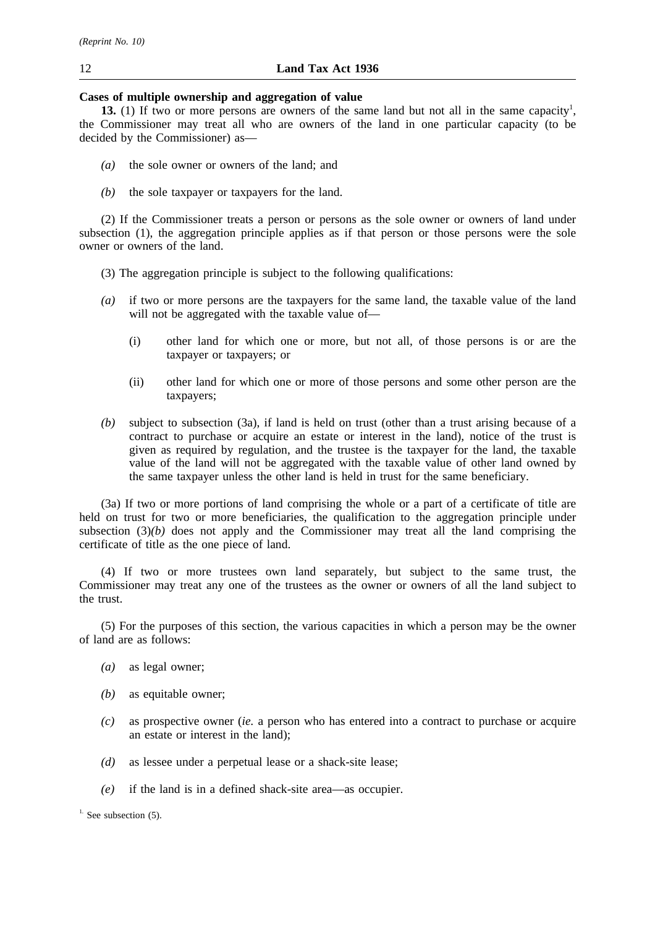#### **Cases of multiple ownership and aggregation of value**

13. (1) If two or more persons are owners of the same land but not all in the same capacity<sup>1</sup>, the Commissioner may treat all who are owners of the land in one particular capacity (to be decided by the Commissioner) as—

- *(a)* the sole owner or owners of the land; and
- *(b)* the sole taxpayer or taxpayers for the land.

(2) If the Commissioner treats a person or persons as the sole owner or owners of land under subsection (1), the aggregation principle applies as if that person or those persons were the sole owner or owners of the land.

- (3) The aggregation principle is subject to the following qualifications:
- *(a)* if two or more persons are the taxpayers for the same land, the taxable value of the land will not be aggregated with the taxable value of—
	- (i) other land for which one or more, but not all, of those persons is or are the taxpayer or taxpayers; or
	- (ii) other land for which one or more of those persons and some other person are the taxpayers;
- *(b)* subject to subsection (3a), if land is held on trust (other than a trust arising because of a contract to purchase or acquire an estate or interest in the land), notice of the trust is given as required by regulation, and the trustee is the taxpayer for the land, the taxable value of the land will not be aggregated with the taxable value of other land owned by the same taxpayer unless the other land is held in trust for the same beneficiary.

(3a) If two or more portions of land comprising the whole or a part of a certificate of title are held on trust for two or more beneficiaries, the qualification to the aggregation principle under subsection  $(3)(b)$  does not apply and the Commissioner may treat all the land comprising the certificate of title as the one piece of land.

(4) If two or more trustees own land separately, but subject to the same trust, the Commissioner may treat any one of the trustees as the owner or owners of all the land subject to the trust.

(5) For the purposes of this section, the various capacities in which a person may be the owner of land are as follows:

- *(a)* as legal owner;
- *(b)* as equitable owner;
- *(c)* as prospective owner (*ie.* a person who has entered into a contract to purchase or acquire an estate or interest in the land);
- *(d)* as lessee under a perpetual lease or a shack-site lease;
- *(e)* if the land is in a defined shack-site area—as occupier.

 $<sup>1</sup>$ . See subsection (5).</sup>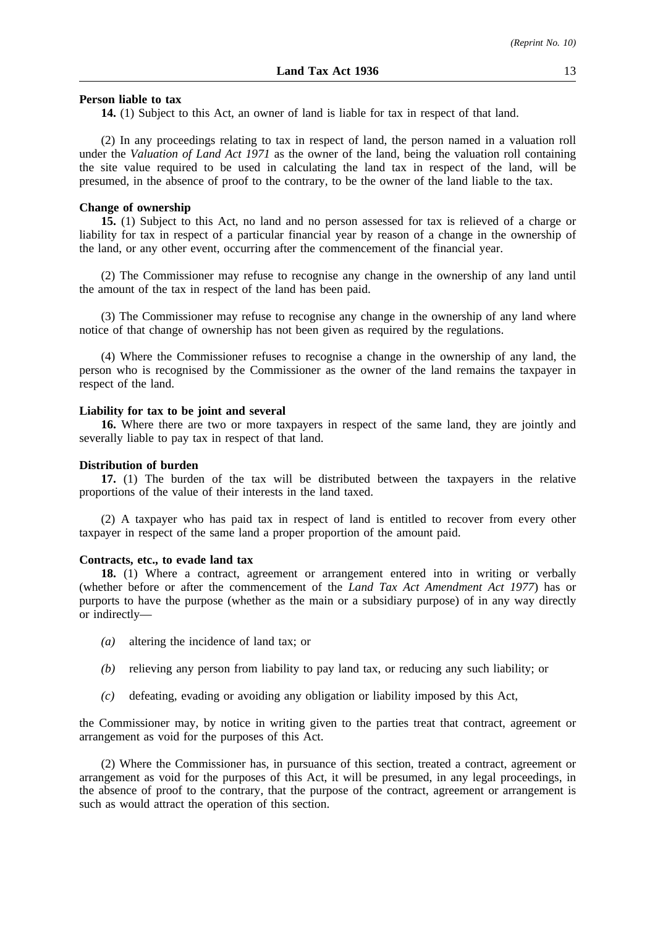#### **Person liable to tax**

**14.** (1) Subject to this Act, an owner of land is liable for tax in respect of that land.

(2) In any proceedings relating to tax in respect of land, the person named in a valuation roll under the *Valuation of Land Act 1971* as the owner of the land, being the valuation roll containing the site value required to be used in calculating the land tax in respect of the land, will be presumed, in the absence of proof to the contrary, to be the owner of the land liable to the tax.

#### **Change of ownership**

**15.** (1) Subject to this Act, no land and no person assessed for tax is relieved of a charge or liability for tax in respect of a particular financial year by reason of a change in the ownership of the land, or any other event, occurring after the commencement of the financial year.

(2) The Commissioner may refuse to recognise any change in the ownership of any land until the amount of the tax in respect of the land has been paid.

(3) The Commissioner may refuse to recognise any change in the ownership of any land where notice of that change of ownership has not been given as required by the regulations.

(4) Where the Commissioner refuses to recognise a change in the ownership of any land, the person who is recognised by the Commissioner as the owner of the land remains the taxpayer in respect of the land.

#### **Liability for tax to be joint and several**

**16.** Where there are two or more taxpayers in respect of the same land, they are jointly and severally liable to pay tax in respect of that land.

# **Distribution of burden**

**17.** (1) The burden of the tax will be distributed between the taxpayers in the relative proportions of the value of their interests in the land taxed.

(2) A taxpayer who has paid tax in respect of land is entitled to recover from every other taxpayer in respect of the same land a proper proportion of the amount paid.

#### **Contracts, etc., to evade land tax**

**18.** (1) Where a contract, agreement or arrangement entered into in writing or verbally (whether before or after the commencement of the *Land Tax Act Amendment Act 1977*) has or purports to have the purpose (whether as the main or a subsidiary purpose) of in any way directly or indirectly—

- *(a)* altering the incidence of land tax; or
- *(b)* relieving any person from liability to pay land tax, or reducing any such liability; or
- *(c)* defeating, evading or avoiding any obligation or liability imposed by this Act,

the Commissioner may, by notice in writing given to the parties treat that contract, agreement or arrangement as void for the purposes of this Act.

(2) Where the Commissioner has, in pursuance of this section, treated a contract, agreement or arrangement as void for the purposes of this Act, it will be presumed, in any legal proceedings, in the absence of proof to the contrary, that the purpose of the contract, agreement or arrangement is such as would attract the operation of this section.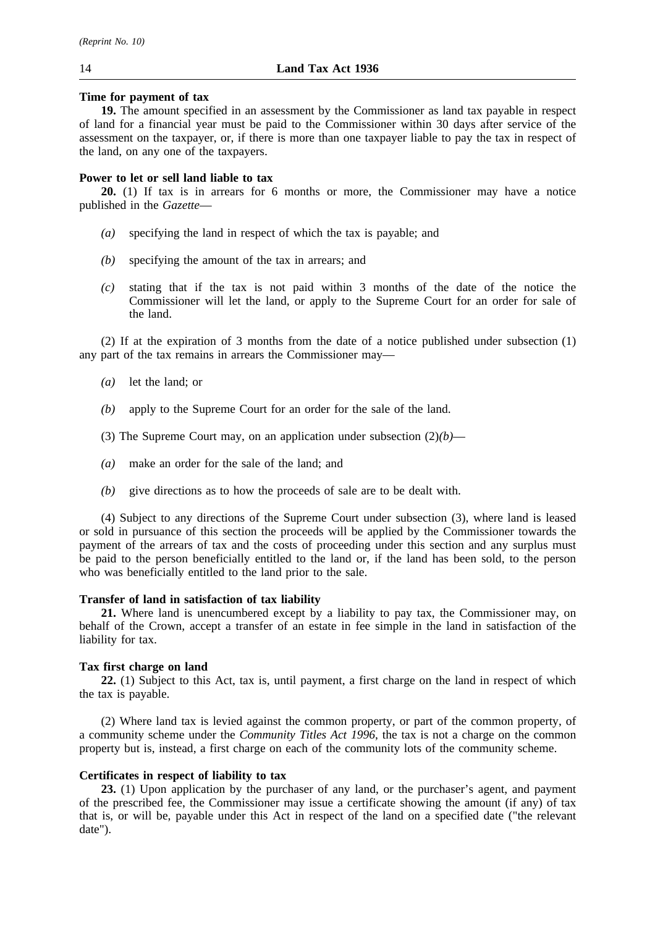*(Reprint No. 10)*

# **Time for payment of tax**

**19.** The amount specified in an assessment by the Commissioner as land tax payable in respect of land for a financial year must be paid to the Commissioner within 30 days after service of the assessment on the taxpayer, or, if there is more than one taxpayer liable to pay the tax in respect of the land, on any one of the taxpayers.

# **Power to let or sell land liable to tax**

**20.** (1) If tax is in arrears for 6 months or more, the Commissioner may have a notice published in the *Gazette*—

- *(a)* specifying the land in respect of which the tax is payable; and
- *(b)* specifying the amount of the tax in arrears; and
- *(c)* stating that if the tax is not paid within 3 months of the date of the notice the Commissioner will let the land, or apply to the Supreme Court for an order for sale of the land.

(2) If at the expiration of 3 months from the date of a notice published under subsection (1) any part of the tax remains in arrears the Commissioner may—

- *(a)* let the land; or
- *(b)* apply to the Supreme Court for an order for the sale of the land.
- (3) The Supreme Court may, on an application under subsection (2)*(b)*—
- *(a)* make an order for the sale of the land; and
- *(b)* give directions as to how the proceeds of sale are to be dealt with.

(4) Subject to any directions of the Supreme Court under subsection (3), where land is leased or sold in pursuance of this section the proceeds will be applied by the Commissioner towards the payment of the arrears of tax and the costs of proceeding under this section and any surplus must be paid to the person beneficially entitled to the land or, if the land has been sold, to the person who was beneficially entitled to the land prior to the sale.

## **Transfer of land in satisfaction of tax liability**

**21.** Where land is unencumbered except by a liability to pay tax, the Commissioner may, on behalf of the Crown, accept a transfer of an estate in fee simple in the land in satisfaction of the liability for tax.

# **Tax first charge on land**

**22.** (1) Subject to this Act, tax is, until payment, a first charge on the land in respect of which the tax is payable.

(2) Where land tax is levied against the common property, or part of the common property, of a community scheme under the *Community Titles Act 1996*, the tax is not a charge on the common property but is, instead, a first charge on each of the community lots of the community scheme.

## **Certificates in respect of liability to tax**

**23.** (1) Upon application by the purchaser of any land, or the purchaser's agent, and payment of the prescribed fee, the Commissioner may issue a certificate showing the amount (if any) of tax that is, or will be, payable under this Act in respect of the land on a specified date ("the relevant date").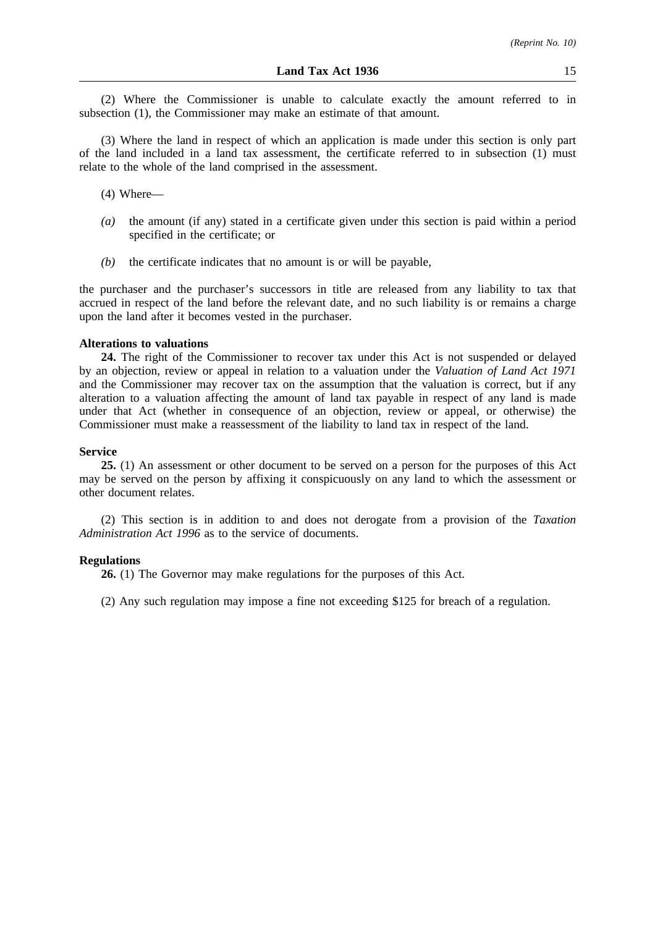(2) Where the Commissioner is unable to calculate exactly the amount referred to in subsection (1), the Commissioner may make an estimate of that amount.

(3) Where the land in respect of which an application is made under this section is only part of the land included in a land tax assessment, the certificate referred to in subsection (1) must relate to the whole of the land comprised in the assessment.

(4) Where—

- *(a)* the amount (if any) stated in a certificate given under this section is paid within a period specified in the certificate; or
- *(b)* the certificate indicates that no amount is or will be payable,

the purchaser and the purchaser's successors in title are released from any liability to tax that accrued in respect of the land before the relevant date, and no such liability is or remains a charge upon the land after it becomes vested in the purchaser.

## **Alterations to valuations**

**24.** The right of the Commissioner to recover tax under this Act is not suspended or delayed by an objection, review or appeal in relation to a valuation under the *Valuation of Land Act 1971* and the Commissioner may recover tax on the assumption that the valuation is correct, but if any alteration to a valuation affecting the amount of land tax payable in respect of any land is made under that Act (whether in consequence of an objection, review or appeal, or otherwise) the Commissioner must make a reassessment of the liability to land tax in respect of the land.

## **Service**

**25.** (1) An assessment or other document to be served on a person for the purposes of this Act may be served on the person by affixing it conspicuously on any land to which the assessment or other document relates.

(2) This section is in addition to and does not derogate from a provision of the *Taxation Administration Act 1996* as to the service of documents.

#### **Regulations**

**26.** (1) The Governor may make regulations for the purposes of this Act.

(2) Any such regulation may impose a fine not exceeding \$125 for breach of a regulation.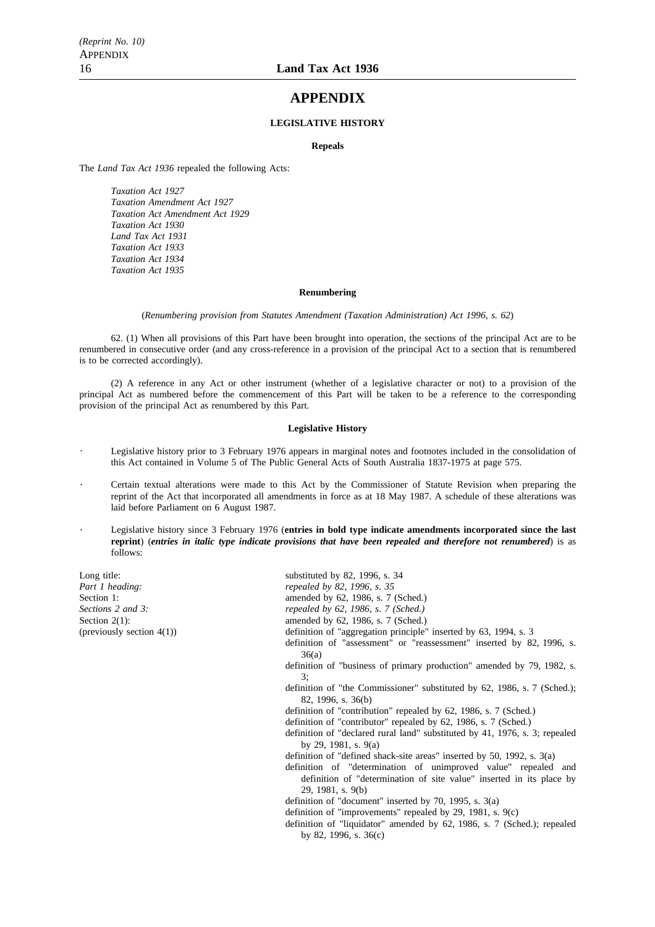# **APPENDIX**

#### **LEGISLATIVE HISTORY**

#### **Repeals**

The *Land Tax Act 1936* repealed the following Acts:

*Taxation Act 1927 Taxation Amendment Act 1927 Taxation Act Amendment Act 1929 Taxation Act 1930 Land Tax Act 1931 Taxation Act 1933 Taxation Act 1934 Taxation Act 1935*

#### **Renumbering**

(*Renumbering provision from Statutes Amendment (Taxation Administration) Act 1996, s. 62*)

62. (1) When all provisions of this Part have been brought into operation, the sections of the principal Act are to be renumbered in consecutive order (and any cross-reference in a provision of the principal Act to a section that is renumbered is to be corrected accordingly).

(2) A reference in any Act or other instrument (whether of a legislative character or not) to a provision of the principal Act as numbered before the commencement of this Part will be taken to be a reference to the corresponding provision of the principal Act as renumbered by this Part.

#### **Legislative History**

- Legislative history prior to 3 February 1976 appears in marginal notes and footnotes included in the consolidation of this Act contained in Volume 5 of The Public General Acts of South Australia 1837-1975 at page 575.
- Certain textual alterations were made to this Act by the Commissioner of Statute Revision when preparing the reprint of the Act that incorporated all amendments in force as at 18 May 1987. A schedule of these alterations was laid before Parliament on 6 August 1987.
- Legislative history since 3 February 1976 (**entries in bold type indicate amendments incorporated since the last reprint**) (*entries in italic type indicate provisions that have been repealed and therefore not renumbered*) is as follows:

Long title: substituted by 82, 1996, s. 34 *Part 1 heading: repealed by 82, 1996, s. 35*<br>Section 1: *amended by 62, 1986, s. 7* amended by 62, 1986, s. 7 (Sched.) *Sections 2 and 3: repealed by 62, 1986, s. 7 (Sched.)* Section 2(1): amended by 62, 1986, s. 7 (Sched.)<br>(previously section 4(1)) definition of "aggregation principle" definition of "aggregation principle" inserted by 63, 1994, s. 3 definition of "assessment" or "reassessment" inserted by 82, 1996, s. 36(a) definition of "business of primary production" amended by 79, 1982, s. 3; definition of "the Commissioner" substituted by 62, 1986, s. 7 (Sched.); 82, 1996, s. 36(b) definition of "contribution" repealed by 62, 1986, s. 7 (Sched.) definition of "contributor" repealed by 62, 1986, s. 7 (Sched.) definition of "declared rural land" substituted by 41, 1976, s. 3; repealed by 29, 1981, s. 9(a) definition of "defined shack-site areas" inserted by 50, 1992, s. 3(a) definition of "determination of unimproved value" repealed and definition of "determination of site value" inserted in its place by 29, 1981, s. 9(b) definition of "document" inserted by 70, 1995, s. 3(a) definition of "improvements" repealed by 29, 1981, s. 9(c) definition of "liquidator" amended by 62, 1986, s. 7 (Sched.); repealed by 82, 1996, s. 36(c)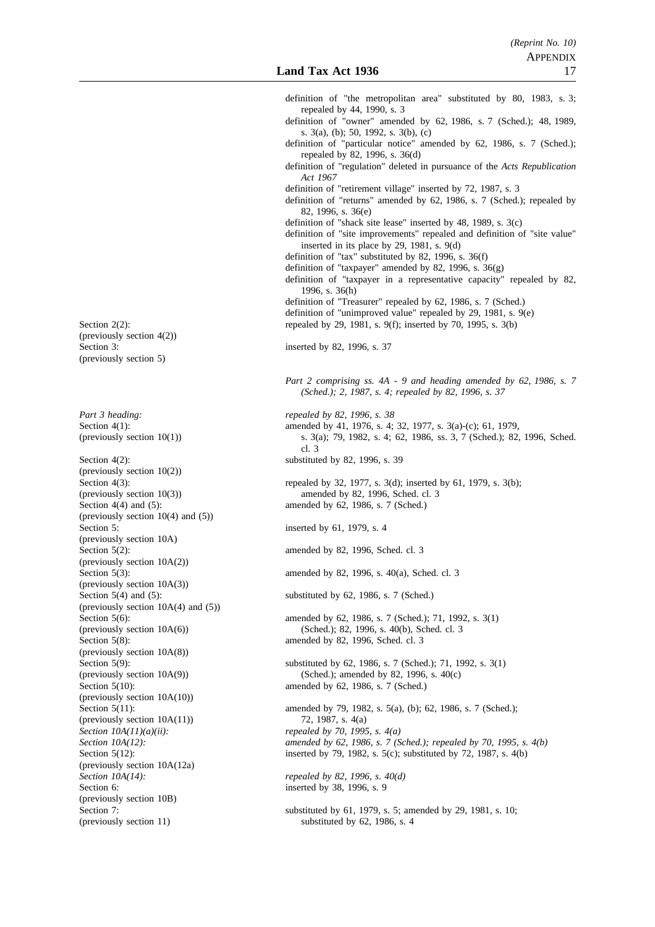repealed by 44, 1990, s. 3

definition of "owner" amended by 62, 1986, s. 7 (Sched.); 48, 1989, s. 3(a), (b); 50, 1992, s. 3(b), (c) definition of "particular notice" amended by 62, 1986, s. 7 (Sched.); repealed by 82, 1996, s. 36(d) definition of "regulation" deleted in pursuance of the *Acts Republication Act 1967* definition of "retirement village" inserted by 72, 1987, s. 3 definition of "returns" amended by 62, 1986, s. 7 (Sched.); repealed by 82, 1996, s. 36(e) definition of "shack site lease" inserted by 48, 1989, s. 3(c) definition of "site improvements" repealed and definition of "site value" inserted in its place by 29, 1981, s. 9(d) definition of "tax" substituted by 82, 1996, s. 36(f) definition of "taxpayer" amended by 82, 1996, s. 36(g) definition of "taxpayer in a representative capacity" repealed by 82, 1996, s. 36(h) definition of "Treasurer" repealed by 62, 1986, s. 7 (Sched.) definition of "unimproved value" repealed by 29, 1981, s. 9(e) Section 2(2): repealed by 29, 1981, s. 9(f); inserted by 70, 1995, s. 3(b) Section 3: inserted by 82, 1996, s. 37 *Part 2 comprising ss. 4A - 9 and heading amended by 62, 1986, s. 7 (Sched.); 2, 1987, s. 4; repealed by 82, 1996, s. 37 Part 3 heading: repealed by 82, 1996, s. 38*<br>Section 4(1): *repealed by 82, 1996, s. 38*<br>amended by 41, 1976, s. 4; amended by 41, 1976, s. 4; 32, 1977, s. 3(a)-(c); 61, 1979, (previously section 10(1)) s. 3(a); 79, 1982, s. 4; 62, 1986, ss. 3, 7 (Sched.); 82, 1996, Sched. cl. 3 Section 4(2): substituted by 82, 1996, s. 39 repealed by 32, 1977, s. 3(d); inserted by 61, 1979, s. 3(b); (previously section 10(3)) amended by 82, 1996, Sched. cl. 3 Section 4(4) and (5): amended by 62, 1986, s. 7 (Sched.) amended by 82, 1996, Sched. cl. 3 Section 5(3): **amended** by 82, 1996, s. 40(a), Sched. cl. 3 Section 5(4) and (5): substituted by 62, 1986, s. 7 (Sched.) Section 5(6): amended by 62, 1986, s. 7 (Sched.); 71, 1992, s. 3(1) (previously section 10A(6)) (Sched.); 82, 1996, s. 40(b), Sched. cl. 3 Section 5(8): amended by 82, 1996, Sched. cl. 3 Section 5(9): substituted by 62, 1986, s. 7 (Sched.); 71, 1992, s. 3(1) (previously section  $10A(9)$ ) (Sched.); amended by 82, 1996, s.  $40(c)$ Section 5(10): amended by 62, 1986, s. 7 (Sched.) Section 5(11): amended by 79, 1982, s. 5(a), (b); 62, 1986, s. 7 (Sched.); *Section 10A(11)(a)(ii): repealed by 70, 1995, s. 4(a)*<br>*Section 10A(12): amended by 62, 1986, s. 7 (S) Seperaled by 62, 1986, s. 7 (Sched.); repealed by 70, 1995, s. 4(b)* Section 5(12): inserted by 79, 1982, s. 5(c); substituted by 72, 1987, s. 4(b) *sepealed by 82, 1996, s. 40(d)* Section 7: substituted by 61, 1979, s. 5; amended by 29, 1981, s. 10; (previously section 11) substituted by 62, 1986, s. 4

definition of "the metropolitan area" substituted by 80, 1983, s. 3;

(previously section 4(2)) (previously section 5)

(previously section  $10(2)$ )<br>Section  $4(3)$ : (previously section 10(4) and (5)) Section 5: inserted by 61, 1979, s. 4 (previously section 10A)<br>Section  $5(2)$ : (previously section 10A(2)) (previously section 10A(3)) (previously section 10A(4) and (5)) (previously section 10A(8)) (previously section 10A(10)) (previously section  $10A(11)$ )  $72, 1987, s. 4(a)$ (previously section  $10A(12a)$ <br>Section  $10A(14)$ : Section 6: inserted by 38, 1996, s. 9 (previously section 10B)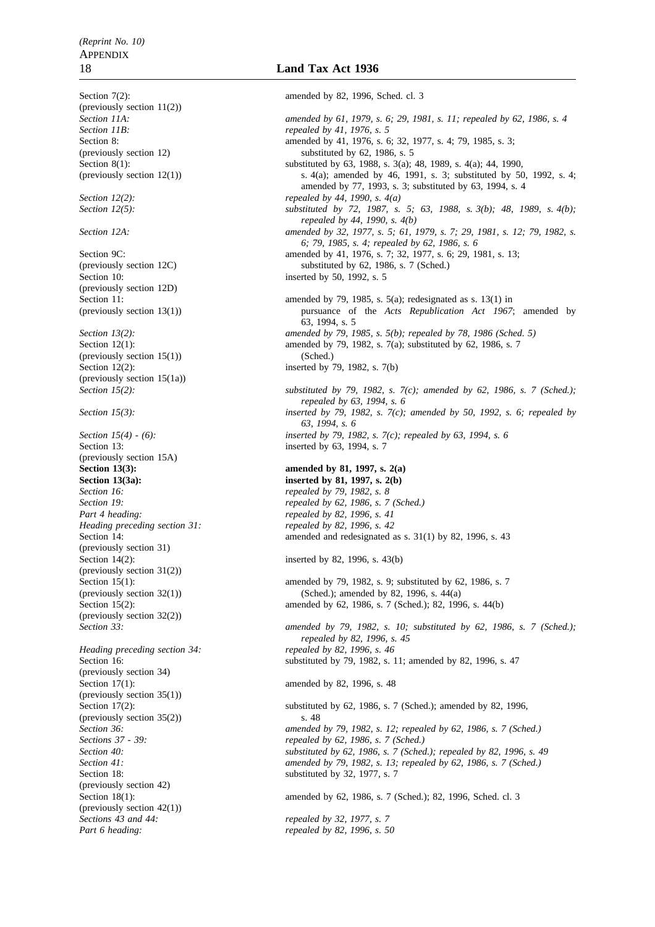Section 7(2): amended by 82, 1996, Sched. cl. 3 (previously section 11(2)) Section 10: inserted by 50, 1992, s. 5 (previously section 12D)  $(\text{previously section } 15(1))$  (Sched.) Section 12(2): inserted by 79, 1982, s.  $7(b)$ (previously section  $15(1a)$ )<br>Section  $15(2)$ : Section 13: inserted by 63, 1994, s. 7 (previously section 15A) *Section 16: repealed by 79, 1982, s. 8 Heading preceding section 31:* (previously section 31)<br>Section  $14(2)$ : (previously section 31(2)) (previously section 32(2)) *Heading preceding section 34:* (previously section 34) Section 17(1): amended by 82, 1996, s. 48 (previously section 35(1)) (previously section  $35(2)$ ) s. 48 Section 18: substituted by 32, 1977, s. 7 (previously section 42) (previously section 42(1))<br>Sections 43 and 44: *Part 6 heading: repealed by 82, 1996, s. 50* 

## 18 **Land Tax Act 1936**

*Section 11A: amended by 61, 1979, s. 6; 29, 1981, s. 11; repealed by 62, 1986, s. 4*<br>*Section 11B Section 11B: repealed by 41, 1976, s. 5* Section 8: amended by 41, 1976, s. 6; 32, 1977, s. 4; 79, 1985, s. 3; (previously section 12) substituted by 62, 1986, s. 5<br>Section 8(1): substituted by 63, 1988, s. 3(a); substituted by 63, 1988, s. 3(a); 48, 1989, s. 4(a); 44, 1990, (previously section 12(1)) s. 4(a); amended by 46, 1991, s. 3; substituted by 50, 1992, s. 4; amended by 77, 1993, s. 3; substituted by 63, 1994, s. 4 *Section 12(2): repealed by 44, 1990, s. 4(a) Section 12(5): substituted by 72, 1987, s. 5; 63, 1988, s. 3(b); 48, 1989, s. 4(b); repealed by 44, 1990, s. 4(b) Section 12A: amended by 32, 1977, s. 5; 61, 1979, s. 7; 29, 1981, s. 12; 79, 1982, s. 6; 79, 1985, s. 4; repealed by 62, 1986, s. 6* Section 9C: amended by 41, 1976, s. 7; 32, 1977, s. 6; 29, 1981, s. 13; (previously section 12C) substituted by 62, 1986, s. 7 (Sched.) Section 11: amended by 79, 1985, s. 5(a); redesignated as s. 13(1) in (previously section 13(1)) pursuance of the *Acts Republication Act 1967*; amended by 63, 1994, s. 5 *Section 13(2): amended by 79, 1985, s. 5(b); repealed by 78, 1986 (Sched. 5)* Section 12(1): amended by 79, 1982, s. 7(a); substituted by 62, 1986, s. 7 *Section 15(2): substituted by 79, 1982, s. 7(c); amended by 62, 1986, s. 7 (Sched.); repealed by 63, 1994, s. 6 Section 15(3): inserted by 79, 1982, s. 7(c); amended by 50, 1992, s. 6; repealed by 63, 1994, s. 6 Section 15(4) - (6): inserted by 79, 1982, s. 7(c); repealed by 63, 1994, s. 6* **Section 13(3):** amended by 81, 1997, s. 2(a)<br>Section 13(3a): **amended** by 81, 1997, s. 2(b) **Section 13(3a): inserted by 81, 1997, s. 2(b)** *Section 19: repealed by 62, 1986, s. 7 (Sched.)*<br> *Part 4 heading: repealed by 82, 1996, s. 41 Prepealed by 82, 1996, s. 41*<br>*Prepealed by 82, 1996, s. 42* Section 14: amended and redesignated as s. 31(1) by 82, 1996, s. 43 inserted by 82, 1996, s.  $43(b)$ Section 15(1): amended by 79, 1982, s. 9; substituted by 62, 1986, s. 7 (previously section  $32(1)$ ) (Sched.); amended by 82, 1996, s. 44(a) Section 15(2): amended by 62, 1986, s. 7 (Sched.); 82, 1996, s. 44(b) *Section 33: amended by 79, 1982, s. 10; substituted by 62, 1986, s. 7 (Sched.); repealed by 82, 1996, s. 45* Section 16: substituted by 79, 1982, s. 11; amended by 82, 1996, s. 47 Section 17(2): substituted by 62, 1986, s. 7 (Sched.); amended by 82, 1996, *Section 36: amended by 79, 1982, s. 12; repealed by 62, 1986, s. 7 (Sched.) Sections 37 - 39: repealed by 62, 1986, s. 7 (Sched.)*<br>*Section 40: substituted by 62, 1986, s. 7 (Sched.) Section 40: substituted by 62, 1986, s. 7 (Sched.); repealed by 82, 1996, s. 49 Section 41: amended by 79, 1982, s. 13; repealed by 62, 1986, s. 7 (Sched.)* Section 18(1): amended by 62, 1986, s. 7 (Sched.); 82, 1996, Sched. cl. 3 *repealed by 32, 1977, s. 7*